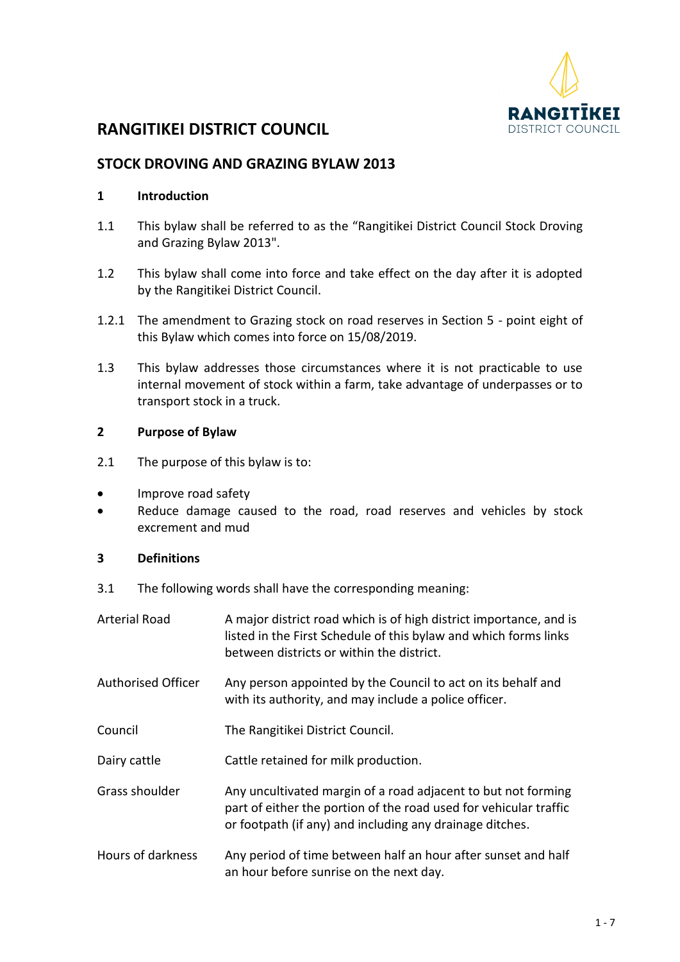

# **RANGITIKEI DISTRICT COUNCIL**

# **STOCK DROVING AND GRAZING BYLAW 2013**

### **1 Introduction**

- 1.1 This bylaw shall be referred to as the "Rangitikei District Council Stock Droving and Grazing Bylaw 2013".
- 1.2 This bylaw shall come into force and take effect on the day after it is adopted by the Rangitikei District Council.
- 1.2.1 The amendment to Grazing stock on road reserves in Section 5 point eight of this Bylaw which comes into force on 15/08/2019.
- 1.3 This bylaw addresses those circumstances where it is not practicable to use internal movement of stock within a farm, take advantage of underpasses or to transport stock in a truck.

#### **2 Purpose of Bylaw**

- 2.1 The purpose of this bylaw is to:
- Improve road safety
- Reduce damage caused to the road, road reserves and vehicles by stock excrement and mud

#### **3 Definitions**

3.1 The following words shall have the corresponding meaning:

| <b>Arterial Road</b>      | A major district road which is of high district importance, and is<br>listed in the First Schedule of this bylaw and which forms links<br>between districts or within the district.            |  |
|---------------------------|------------------------------------------------------------------------------------------------------------------------------------------------------------------------------------------------|--|
| <b>Authorised Officer</b> | Any person appointed by the Council to act on its behalf and<br>with its authority, and may include a police officer.                                                                          |  |
| Council                   | The Rangitikei District Council.                                                                                                                                                               |  |
| Dairy cattle              | Cattle retained for milk production.                                                                                                                                                           |  |
| Grass shoulder            | Any uncultivated margin of a road adjacent to but not forming<br>part of either the portion of the road used for vehicular traffic<br>or footpath (if any) and including any drainage ditches. |  |
| Hours of darkness         | Any period of time between half an hour after sunset and half<br>an hour before sunrise on the next day.                                                                                       |  |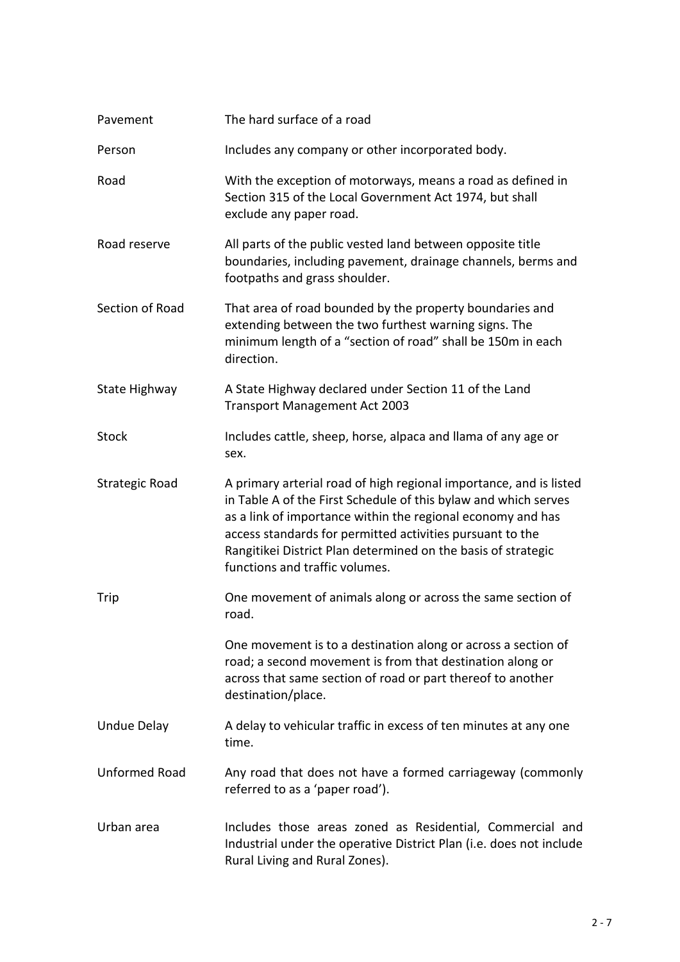| Pavement              | The hard surface of a road                                                                                                                                                                                                                                                                                                                                           |  |
|-----------------------|----------------------------------------------------------------------------------------------------------------------------------------------------------------------------------------------------------------------------------------------------------------------------------------------------------------------------------------------------------------------|--|
| Person                | Includes any company or other incorporated body.                                                                                                                                                                                                                                                                                                                     |  |
| Road                  | With the exception of motorways, means a road as defined in<br>Section 315 of the Local Government Act 1974, but shall<br>exclude any paper road.                                                                                                                                                                                                                    |  |
| Road reserve          | All parts of the public vested land between opposite title<br>boundaries, including pavement, drainage channels, berms and<br>footpaths and grass shoulder.                                                                                                                                                                                                          |  |
| Section of Road       | That area of road bounded by the property boundaries and<br>extending between the two furthest warning signs. The<br>minimum length of a "section of road" shall be 150m in each<br>direction.                                                                                                                                                                       |  |
| State Highway         | A State Highway declared under Section 11 of the Land<br><b>Transport Management Act 2003</b>                                                                                                                                                                                                                                                                        |  |
| <b>Stock</b>          | Includes cattle, sheep, horse, alpaca and llama of any age or<br>sex.                                                                                                                                                                                                                                                                                                |  |
| <b>Strategic Road</b> | A primary arterial road of high regional importance, and is listed<br>in Table A of the First Schedule of this bylaw and which serves<br>as a link of importance within the regional economy and has<br>access standards for permitted activities pursuant to the<br>Rangitikei District Plan determined on the basis of strategic<br>functions and traffic volumes. |  |
| Trip                  | One movement of animals along or across the same section of<br>road.                                                                                                                                                                                                                                                                                                 |  |
|                       | One movement is to a destination along or across a section of<br>road; a second movement is from that destination along or<br>across that same section of road or part thereof to another<br>destination/place.                                                                                                                                                      |  |
| <b>Undue Delay</b>    | A delay to vehicular traffic in excess of ten minutes at any one<br>time.                                                                                                                                                                                                                                                                                            |  |
| <b>Unformed Road</b>  | Any road that does not have a formed carriageway (commonly<br>referred to as a 'paper road').                                                                                                                                                                                                                                                                        |  |
| Urban area            | Includes those areas zoned as Residential, Commercial and<br>Industrial under the operative District Plan (i.e. does not include<br>Rural Living and Rural Zones).                                                                                                                                                                                                   |  |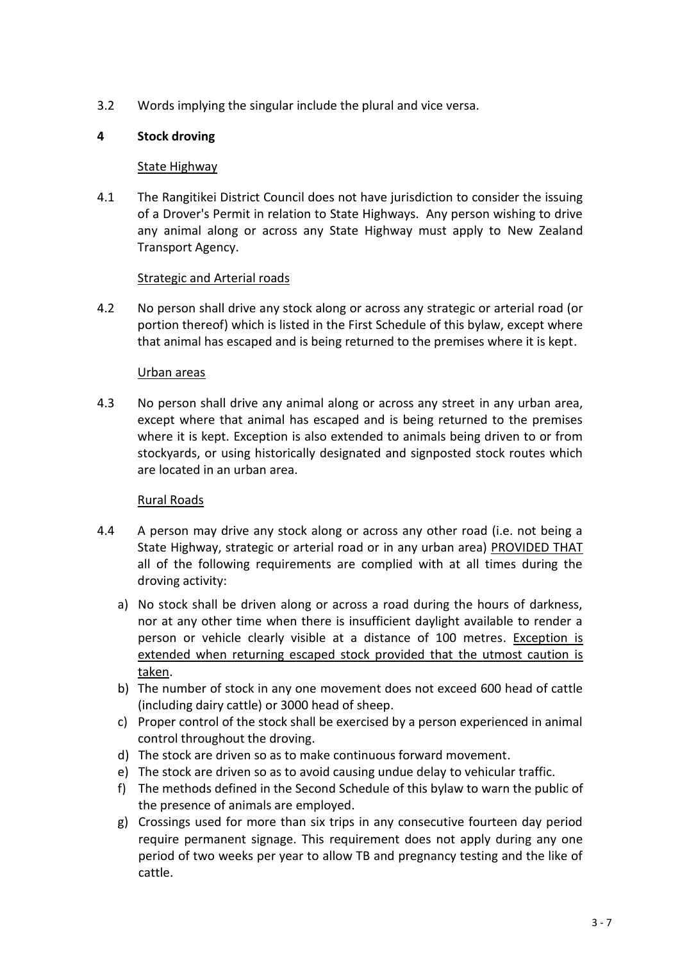3.2 Words implying the singular include the plural and vice versa.

# **4 Stock droving**

### State Highway

4.1 The Rangitikei District Council does not have jurisdiction to consider the issuing of a Drover's Permit in relation to State Highways. Any person wishing to drive any animal along or across any State Highway must apply to New Zealand Transport Agency.

# Strategic and Arterial roads

4.2 No person shall drive any stock along or across any strategic or arterial road (or portion thereof) which is listed in the First Schedule of this bylaw, except where that animal has escaped and is being returned to the premises where it is kept.

### Urban areas

4.3 No person shall drive any animal along or across any street in any urban area, except where that animal has escaped and is being returned to the premises where it is kept. Exception is also extended to animals being driven to or from stockyards, or using historically designated and signposted stock routes which are located in an urban area.

# Rural Roads

- 4.4 A person may drive any stock along or across any other road (i.e. not being a State Highway, strategic or arterial road or in any urban area) PROVIDED THAT all of the following requirements are complied with at all times during the droving activity:
	- a) No stock shall be driven along or across a road during the hours of darkness, nor at any other time when there is insufficient daylight available to render a person or vehicle clearly visible at a distance of 100 metres. Exception is extended when returning escaped stock provided that the utmost caution is taken.
	- b) The number of stock in any one movement does not exceed 600 head of cattle (including dairy cattle) or 3000 head of sheep.
	- c) Proper control of the stock shall be exercised by a person experienced in animal control throughout the droving.
	- d) The stock are driven so as to make continuous forward movement.
	- e) The stock are driven so as to avoid causing undue delay to vehicular traffic.
	- f) The methods defined in the Second Schedule of this bylaw to warn the public of the presence of animals are employed.
	- g) Crossings used for more than six trips in any consecutive fourteen day period require permanent signage. This requirement does not apply during any one period of two weeks per year to allow TB and pregnancy testing and the like of cattle.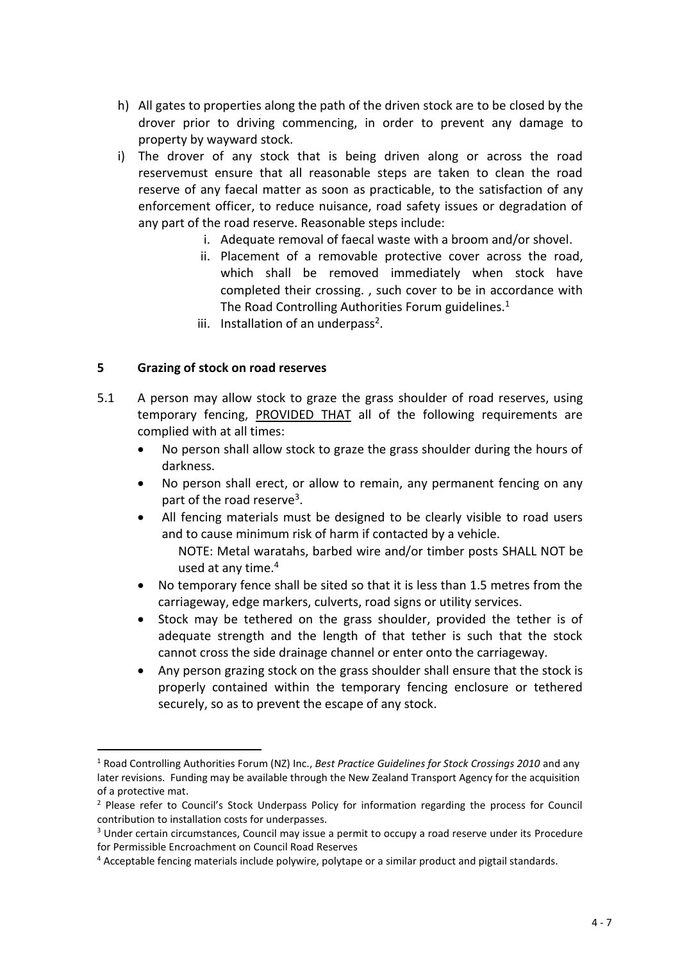- h) All gates to properties along the path of the driven stock are to be closed by the drover prior to driving commencing, in order to prevent any damage to property by wayward stock.
- i) The drover of any stock that is being driven along or across the road reservemust ensure that all reasonable steps are taken to clean the road reserve of any faecal matter as soon as practicable, to the satisfaction of any enforcement officer, to reduce nuisance, road safety issues or degradation of any part of the road reserve. Reasonable steps include:
	- i. Adequate removal of faecal waste with a broom and/or shovel.
	- ii. Placement of a removable protective cover across the road, which shall be removed immediately when stock have completed their crossing. , such cover to be in accordance with The Road Controlling Authorities Forum guidelines.<sup>1</sup>
	- iii. Installation of an underpass<sup>2</sup>.

### **5 Grazing of stock on road reserves**

**.** 

- 5.1 A person may allow stock to graze the grass shoulder of road reserves, using temporary fencing, PROVIDED THAT all of the following requirements are complied with at all times:
	- No person shall allow stock to graze the grass shoulder during the hours of darkness.
	- No person shall erect, or allow to remain, any permanent fencing on any part of the road reserve<sup>3</sup>.
	- All fencing materials must be designed to be clearly visible to road users and to cause minimum risk of harm if contacted by a vehicle.
		- NOTE: Metal waratahs, barbed wire and/or timber posts SHALL NOT be used at any time.<sup>4</sup>
	- No temporary fence shall be sited so that it is less than 1.5 metres from the carriageway, edge markers, culverts, road signs or utility services.
	- Stock may be tethered on the grass shoulder, provided the tether is of adequate strength and the length of that tether is such that the stock cannot cross the side drainage channel or enter onto the carriageway.
	- Any person grazing stock on the grass shoulder shall ensure that the stock is properly contained within the temporary fencing enclosure or tethered securely, so as to prevent the escape of any stock.

<sup>1</sup> Road Controlling Authorities Forum (NZ) Inc., *Best Practice Guidelines for Stock Crossings 2010* and any later revisions. Funding may be available through the New Zealand Transport Agency for the acquisition of a protective mat.

<sup>&</sup>lt;sup>2</sup> Please refer to Council's Stock Underpass Policy for information regarding the process for Council contribution to installation costs for underpasses.

<sup>&</sup>lt;sup>3</sup> Under certain circumstances, Council may issue a permit to occupy a road reserve under its Procedure for Permissible Encroachment on Council Road Reserves

<sup>4</sup> Acceptable fencing materials include polywire, polytape or a similar product and pigtail standards.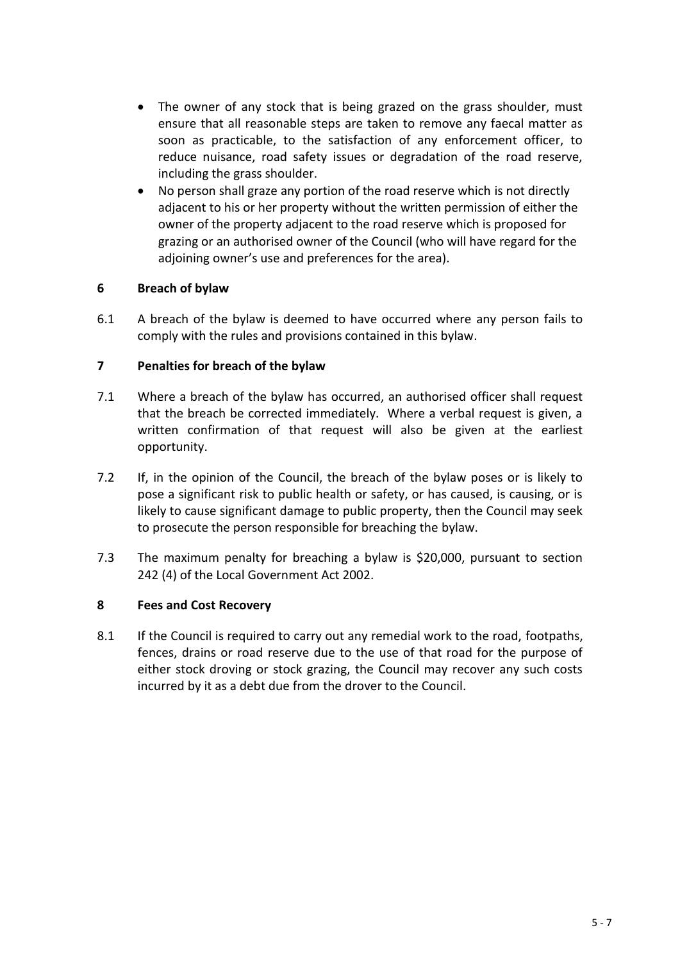- The owner of any stock that is being grazed on the grass shoulder, must ensure that all reasonable steps are taken to remove any faecal matter as soon as practicable, to the satisfaction of any enforcement officer, to reduce nuisance, road safety issues or degradation of the road reserve, including the grass shoulder.
- No person shall graze any portion of the road reserve which is not directly adjacent to his or her property without the written permission of either the owner of the property adjacent to the road reserve which is proposed for grazing or an authorised owner of the Council (who will have regard for the adjoining owner's use and preferences for the area).

# **6 Breach of bylaw**

6.1 A breach of the bylaw is deemed to have occurred where any person fails to comply with the rules and provisions contained in this bylaw.

### **7 Penalties for breach of the bylaw**

- 7.1 Where a breach of the bylaw has occurred, an authorised officer shall request that the breach be corrected immediately. Where a verbal request is given, a written confirmation of that request will also be given at the earliest opportunity.
- 7.2 If, in the opinion of the Council, the breach of the bylaw poses or is likely to pose a significant risk to public health or safety, or has caused, is causing, or is likely to cause significant damage to public property, then the Council may seek to prosecute the person responsible for breaching the bylaw.
- 7.3 The maximum penalty for breaching a bylaw is \$20,000, pursuant to section 242 (4) of the Local Government Act 2002.

#### **8 Fees and Cost Recovery**

8.1 If the Council is required to carry out any remedial work to the road, footpaths, fences, drains or road reserve due to the use of that road for the purpose of either stock droving or stock grazing, the Council may recover any such costs incurred by it as a debt due from the drover to the Council.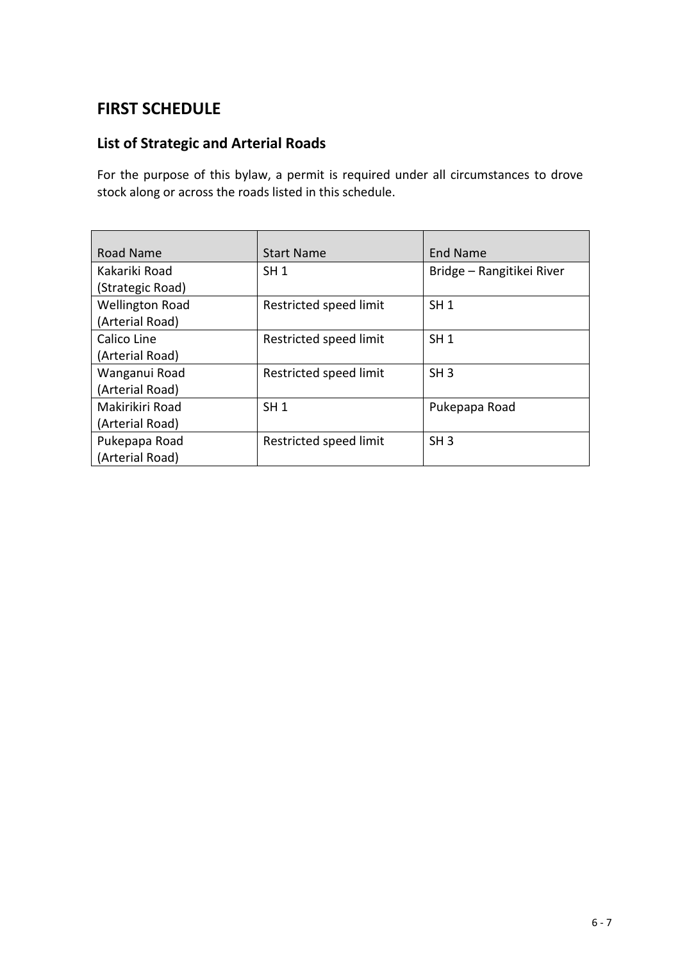# **FIRST SCHEDULE**

# **List of Strategic and Arterial Roads**

For the purpose of this bylaw, a permit is required under all circumstances to drove stock along or across the roads listed in this schedule.

| Road Name              | <b>Start Name</b>      | <b>End Name</b>           |
|------------------------|------------------------|---------------------------|
| Kakariki Road          | SH <sub>1</sub>        | Bridge - Rangitikei River |
| (Strategic Road)       |                        |                           |
| <b>Wellington Road</b> | Restricted speed limit | SH <sub>1</sub>           |
| (Arterial Road)        |                        |                           |
| Calico Line            | Restricted speed limit | SH <sub>1</sub>           |
| (Arterial Road)        |                        |                           |
| Wanganui Road          | Restricted speed limit | SH <sub>3</sub>           |
| (Arterial Road)        |                        |                           |
| Makirikiri Road        | SH <sub>1</sub>        | Pukepapa Road             |
| (Arterial Road)        |                        |                           |
| Pukepapa Road          | Restricted speed limit | SH <sub>3</sub>           |
| (Arterial Road)        |                        |                           |